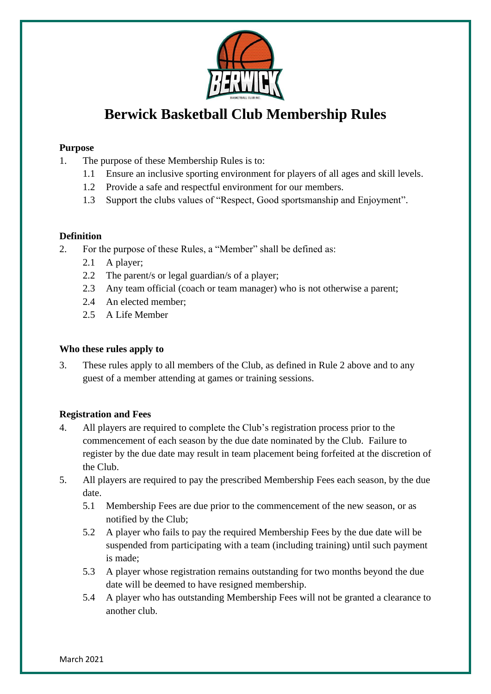

# **Berwick Basketball Club Membership Rules**

#### **Purpose**

- 1. The purpose of these Membership Rules is to:
	- 1.1 Ensure an inclusive sporting environment for players of all ages and skill levels.
	- 1.2 Provide a safe and respectful environment for our members.
	- 1.3 Support the clubs values of "Respect, Good sportsmanship and Enjoyment".

#### **Definition**

- 2. For the purpose of these Rules, a "Member" shall be defined as:
	- 2.1 A player;
	- 2.2 The parent/s or legal guardian/s of a player;
	- 2.3 Any team official (coach or team manager) who is not otherwise a parent;
	- 2.4 An elected member;
	- 2.5 A Life Member

#### **Who these rules apply to**

3. These rules apply to all members of the Club, as defined in Rule 2 above and to any guest of a member attending at games or training sessions.

#### **Registration and Fees**

- 4. All players are required to complete the Club's registration process prior to the commencement of each season by the due date nominated by the Club. Failure to register by the due date may result in team placement being forfeited at the discretion of the Club.
- 5. All players are required to pay the prescribed Membership Fees each season, by the due date.
	- 5.1 Membership Fees are due prior to the commencement of the new season, or as notified by the Club;
	- 5.2 A player who fails to pay the required Membership Fees by the due date will be suspended from participating with a team (including training) until such payment is made;
	- 5.3 A player whose registration remains outstanding for two months beyond the due date will be deemed to have resigned membership.
	- 5.4 A player who has outstanding Membership Fees will not be granted a clearance to another club.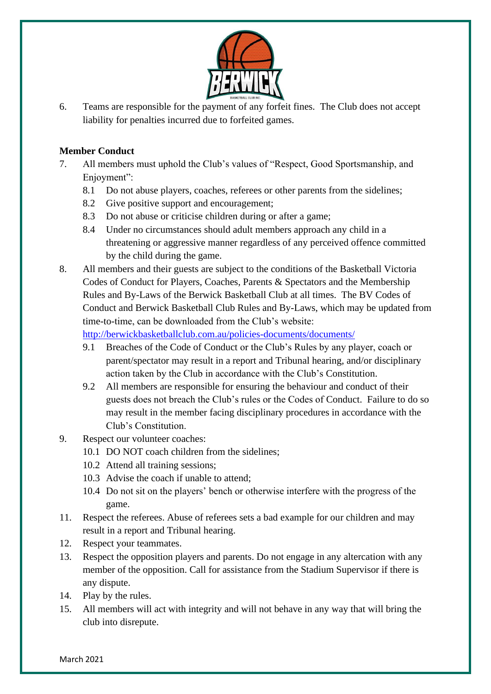

6. Teams are responsible for the payment of any forfeit fines. The Club does not accept liability for penalties incurred due to forfeited games.

#### **Member Conduct**

- 7. All members must uphold the Club's values of "Respect, Good Sportsmanship, and Enjoyment":
	- 8.1 Do not abuse players, coaches, referees or other parents from the sidelines;
	- 8.2 Give positive support and encouragement;
	- 8.3 Do not abuse or criticise children during or after a game;
	- 8.4 Under no circumstances should adult members approach any child in a threatening or aggressive manner regardless of any perceived offence committed by the child during the game.
- 8. All members and their guests are subject to the conditions of the Basketball Victoria Codes of Conduct for Players, Coaches, Parents & Spectators and the Membership Rules and By-Laws of the Berwick Basketball Club at all times. The BV Codes of Conduct and Berwick Basketball Club Rules and By-Laws, which may be updated from time-to-time, can be downloaded from the Club's website:

<http://berwickbasketballclub.com.au/policies-documents/documents/>

- 9.1 Breaches of the Code of Conduct or the Club's Rules by any player, coach or parent/spectator may result in a report and Tribunal hearing, and/or disciplinary action taken by the Club in accordance with the Club's Constitution.
- 9.2 All members are responsible for ensuring the behaviour and conduct of their guests does not breach the Club's rules or the Codes of Conduct. Failure to do so may result in the member facing disciplinary procedures in accordance with the Club's Constitution.
- 9. Respect our volunteer coaches:
	- 10.1 DO NOT coach children from the sidelines;
	- 10.2 Attend all training sessions;
	- 10.3 Advise the coach if unable to attend;
	- 10.4 Do not sit on the players' bench or otherwise interfere with the progress of the game.
- 11. Respect the referees. Abuse of referees sets a bad example for our children and may result in a report and Tribunal hearing.
- 12. Respect your teammates.
- 13. Respect the opposition players and parents. Do not engage in any altercation with any member of the opposition. Call for assistance from the Stadium Supervisor if there is any dispute.
- 14. Play by the rules.
- 15. All members will act with integrity and will not behave in any way that will bring the club into disrepute.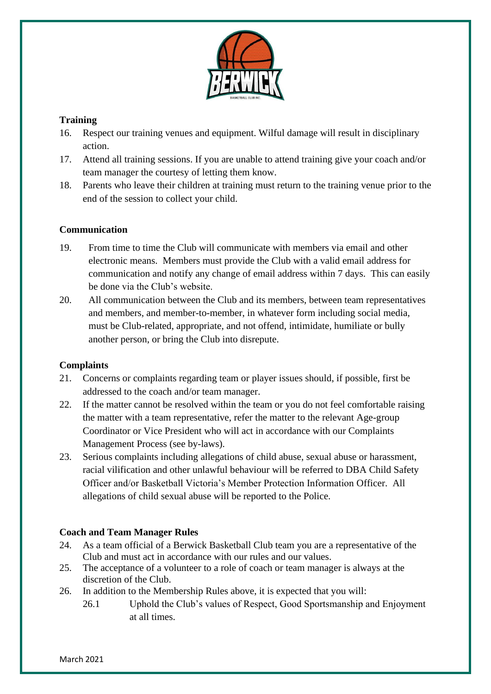

# **Training**

- 16. Respect our training venues and equipment. Wilful damage will result in disciplinary action.
- 17. Attend all training sessions. If you are unable to attend training give your coach and/or team manager the courtesy of letting them know.
- 18. Parents who leave their children at training must return to the training venue prior to the end of the session to collect your child.

# **Communication**

- 19. From time to time the Club will communicate with members via email and other electronic means. Members must provide the Club with a valid email address for communication and notify any change of email address within 7 days. This can easily be done via the Club's website.
- 20. All communication between the Club and its members, between team representatives and members, and member-to-member, in whatever form including social media, must be Club-related, appropriate, and not offend, intimidate, humiliate or bully another person, or bring the Club into disrepute.

# **Complaints**

- 21. Concerns or complaints regarding team or player issues should, if possible, first be addressed to the coach and/or team manager.
- 22. If the matter cannot be resolved within the team or you do not feel comfortable raising the matter with a team representative, refer the matter to the relevant Age-group Coordinator or Vice President who will act in accordance with our Complaints Management Process (see by-laws).
- 23. Serious complaints including allegations of child abuse, sexual abuse or harassment, racial vilification and other unlawful behaviour will be referred to DBA Child Safety Officer and/or Basketball Victoria's Member Protection Information Officer. All allegations of child sexual abuse will be reported to the Police.

# **Coach and Team Manager Rules**

- 24. As a team official of a Berwick Basketball Club team you are a representative of the Club and must act in accordance with our rules and our values.
- 25. The acceptance of a volunteer to a role of coach or team manager is always at the discretion of the Club.
- 26. In addition to the Membership Rules above, it is expected that you will:
	- 26.1 Uphold the Club's values of Respect, Good Sportsmanship and Enjoyment at all times.